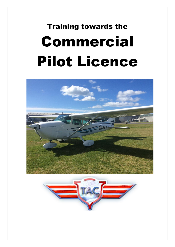# Training towards the Commercial Pilot Licence



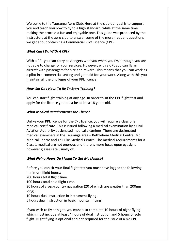Welcome to the Tauranga Aero Club. Here at the club our goal is to support you and teach you how to fly to a high standard, while at the same time making the process a fun and enjoyable one. This guide was produced by the instructors at the aero club to answer some of the more frequent questions we get about obtaining a Commercial Pilot Licence (CPL).

## *What Can I Do With A CPL?*

With a PPL you can carry passengers with you when you fly, although you are not able to charge for your services. However, with a CPL you can fly an aircraft with passengers for hire and reward. This means that you can work as a pilot in a commercial setting and get paid for your work. Along with this you maintain all the privileges of your PPL licence.

### *How Old Do I Have To Be To Start Training?*

You can start flight training at any age. In order to sit the CPL flight test and apply for the licence you must be at least 18 years old.

### *What Medical Requirements Are There?*

Unlike your PPL licence for the CPL licence, you will require a class one medical certificate. This is issued following a medical examination by a Civil Aviation Authority designated medical examiner. There are designated medical examiners in the Tauranga area – Bethlehem Medical Centre, Mt Medical Centre and Te Puke Medical Centre. The medical requirements for a Class 1 medical are not onerous and there is more focus upon eyesight however glasses are usually ok.

#### *What Flying Hours Do I Need To Get My Licence?*

Before you can sit your final flight test you must have logged the following minimum flight hours:

200 hours total flight time.

100 hours total solo flight time.

30 hours of cross-country navigation (20 of which are greater than 200nm long).

10 hours dual instruction in instrument flying.

5 hours dual instruction in basic mountain flying

If you wish to fly at night, you must also complete 10 hours of night flying which must include at least 4 hours of dual instruction and 5 hours of solo flight. Night flying is optional and not required for the issue of a NZ CPL.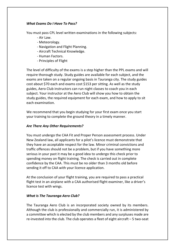## *What Exams Do I Have To Pass?*

You must pass CPL level written examinations in the following subjects:

- Air Law.
- Meteorology.
- Navigation and Flight Planning.
- Aircraft Technical Knowledge.
- Human Factors.
- Principles of Flight

The level of difficulty of the exams is a step higher than the PPL exams and will require thorough study. Study guides are available for each subject, and the exams are taken on a regular ongoing basis in Tauranga city. The study guides cost about \$70 each and exams cost \$153 per sitting. As well as the study guides, Aero Club instructors can run night classes to coach you in each subject. Your instructor at the Aero Club will show you how to obtain the study guides, the required equipment for each exam, and how to apply to sit each examination.

We recommend that you begin studying for your first exam once you start your training to complete the ground theory in a timely manner.

## *Are There Any Other Requirements?*

You must undergo the CAA Fit and Proper Person assessment process. Under New Zealand law, all applicants for a pilot's licence must demonstrate that they have an acceptable respect for the law. Minor criminal convictions and traffic offences should not be a problem, but if you have something more serious in your past it may be a good idea to undergo this check prior to spending money on flight training. The check is carried out in complete confidence by the CAA. This must be no older than 3 months old before sending it off to CAA with your licence application.

At the conclusion of your flight training, you are required to pass a practical flight test in an airplane with a CAA authorised flight examiner, like a driver's licence test with wings.

## *What Is The Tauranga Aero Club?*

The Tauranga Aero Club is an incorporated society owned by its members. Although the club is professionally and commercially run, it is administered by a committee which is elected by the club members and any surpluses made are re-invested into the club. The club operates a fleet of eight aircraft – 5 two-seat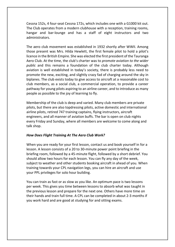Cessna 152s, 4 four-seat Cessna 172s, which includes one with a G1000 kit out. The Club operates from a modern clubhouse with a reception, training rooms, hangar and bar-lounge and has a staff of eight instructors and two administrators.

The aero club movement was established in 1932 shortly after WWII. Among those present was Mrs. Hilda Hewlett, the first female pilot to hold a pilot's licence in the British Empire. She was elected the first president of the Tauranga Aero Club. At the time, the club's charter was to *promote aviation to the wider public* and this remains a foundation of the club charter today. Although aviation is well established in today's society, there is probably less need to promote the new, exciting, and slightly crazy fad of charging around the sky in biplanes. The club exists today to give access to aircraft at a reasonable cost to club members, as a social club, a commercial operation, to provide a career pathway for young pilots aspiring to an airline career, and to introduce as many people as possible to the joy of learning to fly.

Membership of the club is deep and varied. Many club members are private pilots, but there are also topdressing pilots, active domestic and international airline pilots, retired 747 training captains, flying instructors, aircraft engineers, and all manner of aviation buffs. The bar is open on club nights every Friday and Sunday, where all members are welcome to come along and talk shop.

#### *How Does Flight Training At The Aero Club Work?*

When you are ready for your first lesson, contact us and book yourself in for a lesson. A lesson consists of a 20 to 30-minute power point briefing in the briefing room, followed by a 45-minute flight, followed by a short debrief. You should allow two hours for each lesson. You can fly any day of the week, subject to weather and other students booking aircraft in ahead of you. When training towards your CPL navigation legs, you can hire an aircraft and use your PPL privileges for solo hour building.

You can train as fast or as slow as you like. An optimum pace is two lessons per week. This gives you time between lessons to absorb what was taught in the previous lesson and prepare for the next one. Others have more time on their hands and train full time. A CPL can be completed in about 2-3 months if you work hard and are good at studying for and sitting exams.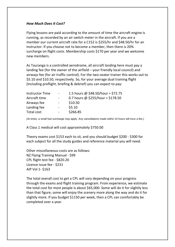#### *How Much Does It Cost?*

Flying lessons are paid according to the amount of time the aircraft engine is running, as recorded by an air switch meter in the aircraft. If you are a member our current aircraft rate for a C152 is \$255/hr and \$48.50/hr for an instructor. If you choose not to become a member, then there is 20% surcharge on flight costs. Membership costs \$170 per year and we welcome new members.

As Tauranga is a controlled aerodrome, all aircraft landing here must pay a landing fee (for the owner of the airfield – your friendly local council) and airways fee (for air traffic control). For the two-seater trainer this works out to \$5.10 and \$10.50, respectively. So, for your average dual training flight (Including preflight, briefing & debrief) you can expect to pay:

| <b>Instructor Time</b> | $\sim$     | 1.5 hours @ \$48.50/hour = \$72.75 |
|------------------------|------------|------------------------------------|
| Aircraft time          | $\sim$ $-$ | 0.7 hours @ \$255/hour = \$178.50  |
| Airways fee            | $\sim$     | \$10.50                            |
| Landing fee            | $\sim$ $-$ | \$5.10                             |
| Total cost             | $\sim$     | \$266.85                           |

(At times, a small fuel surcharge may apply. Any cancellations made within 24 hours will incur a fee.)

A Class 1 medical will cost approximately \$750.00

Theory exams cost \$153 each to sit, and you should budget \$200 - \$300 for each subject for all the study guides and reference material you will need.

Other miscellaneous costs are as follows: NZ Flying Training Manual - \$99 CPL flight test fee - \$820.20 Licence issue fee - \$231 AIP Vol 1- \$163

The total overall cost to get a CPL will vary depending on your progress through the exams and flight training program. From experience, we estimate the total cost for most people is about \$65,000. Some will do it for slightly less than that figure, some will enjoy the scenery more along the way and do it for slightly more. If you budget \$1150 per week, then a CPL can comfortably be completed over a year.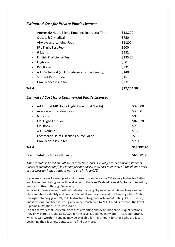## *Estimated Cost for Private Pilot's Licence:*

| Total: |                                                   | \$22,204.50 |
|--------|---------------------------------------------------|-------------|
|        | CAA Licence issue fee                             | \$231       |
|        | <b>Student Pilot Guide</b>                        | \$15        |
|        | A.I.P Volume 4 (incl update service paid yearly)  | \$140       |
|        | <b>PPL Books</b>                                  | \$331       |
|        | Logbook                                           | \$50        |
|        | <b>English Proficiency Test</b>                   | \$135.50    |
|        | 6 Exams                                           | \$552       |
|        | <b>PPL Flight Test Fee</b>                        | \$600       |
|        | Airways and Landing Fees                          | \$1,200     |
|        | Class 1 & 2 Medical                               | \$750       |
|        | Approx 60 Hours Flight Time, Incl Instructor Time | \$18,200    |

#### *Estimated Cost for a Commercial Pilot's Licence:*

|        | Grand Total (includes PPL cost):               | \$65,601.70 |
|--------|------------------------------------------------|-------------|
| Total: |                                                | \$43,397.20 |
| -      | CAA License issue fee                          | \$231       |
|        | Commercial Pilots License Course Guide         | \$15        |
|        | A.I.P Volume 1                                 | \$163       |
|        | <b>CPL Books</b>                               | \$250       |
|        | <b>CPL Flight Test Fee</b>                     | \$820.20    |
|        | 6 Exams                                        | \$918       |
| -      | Airways and Landing Fees                       | \$3,000     |
|        | Additional 140 Hours Flight Time (dual & solo) | \$38,000    |

*This estimate is based on 200 hours total time. This is usually achieved by our students. Please remember that flying is competency based, total cost may vary. All the above prices are subject to change without notice and include GST.* 

If you are a career focused pilot and choose to complete your C-Category Instructor Rating and Instrument Rating you will be eligible for the **New Zealand Level 6 Diploma in Aviation, Instructor Strand** through ServiceIQ.

ServiceIQ is New Zealand's official Industry Training Organisation (ITO) involving aviation. They are able to identify and cross credit what we cover here at the Tauranga Aero Club through obtaining your PPL, CPL, Instructor Rating, and Instrument Rating. All the exams, qualifications, and licenses you gain can be transferred to NZQA credits towards the Level 6 Diploma in Aviation, Instructor Strand.

For all the work that ServiceIQ does cross crediting and examining all your qualifications, they only charge around \$1,500.00 for the Level 6 Diploma in Aviation, Instructor Strand, which is well worth it. Funding may be available for this amount for those who are just beginning their journey. Contact us to find out more.